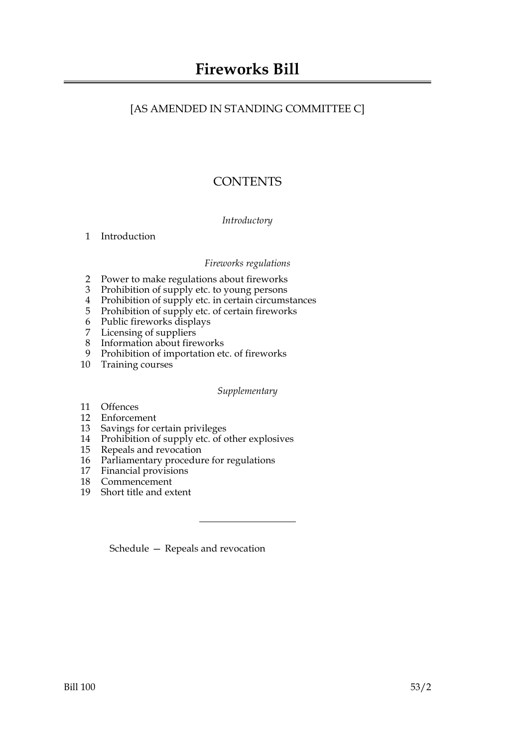## [AS AMENDED IN STANDING COMMITTEE C]

# **CONTENTS**

#### *Introductory*

[1 Introduction](#page-2-0)

#### *Fireworks regulations*

- [2 Power to make regulations about fireworks](#page-2-1)
- [3 Prohibition of supply etc. to young persons](#page-3-0)
- [4 Prohibition of supply etc. in certain circumstances](#page-4-0)
- [5 Prohibition of supply etc. of certain fireworks](#page-4-1)
- [6 Public fireworks displays](#page-5-0)
- [7 Licensing of suppliers](#page-5-1)
- [8 Information about fireworks](#page-6-0)<br>9 Prohibition of importation et
- Prohibition of importation etc. of fireworks
- [10 Training courses](#page-7-0)

*Supplementary*

- [11 Offences](#page-8-0)
- [12 Enforcement](#page-8-1)
- [13 Savings for certain privileges](#page-9-0)
- [14 Prohibition of supply etc. of other explosives](#page-9-1)
- [15 Repeals and revocation](#page-9-2)
- [16 Parliamentary procedure for regulations](#page-9-3)
- [17 Financial provisions](#page-10-0)
- [18 Commencement](#page-10-1)
- [19 Short title and extent](#page-10-2)

[Schedule — Repeals and revocation](#page-11-0)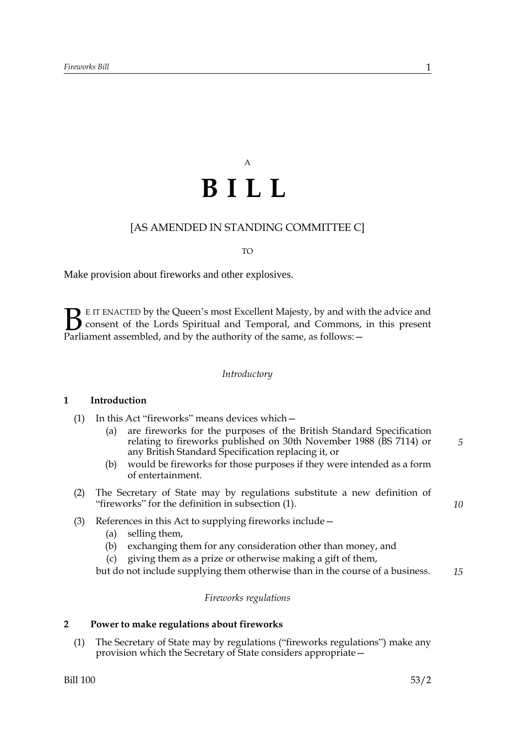# A **BILL**

### [AS AMENDED IN STANDING COMMITTEE C]

TO

Make provision about fireworks and other explosives.

E IT ENACTED by the Queen's most Excellent Majesty, by and with the advice and consent of the Lords Spiritual and Temporal, and Commons, in this present **B** E IT ENACTED by the Queen's most Excellent Majesty, by and with consent of the Lords Spiritual and Temporal, and Commons, Parliament assembled, and by the authority of the same, as follows:  $-$ 

#### *Introductory*

#### <span id="page-2-0"></span>**1 Introduction**

- (1) In this Act "fireworks" means devices which—
	- (a) are fireworks for the purposes of the British Standard Specification relating to fireworks published on 30th November 1988 (BS 7114) or any British Standard Specification replacing it, or
	- (b) would be fireworks for those purposes if they were intended as a form of entertainment.
- (2) The Secretary of State may by regulations substitute a new definition of "fireworks" for the definition in subsection (1).
- *10*

*5*

- (3) References in this Act to supplying fireworks include—
	- (a) selling them,
	- (b) exchanging them for any consideration other than money, and
	- (c) giving them as a prize or otherwise making a gift of them,

but do not include supplying them otherwise than in the course of a business. *15*

#### *Fireworks regulations*

#### <span id="page-2-1"></span>**2 Power to make regulations about fireworks**

(1) The Secretary of State may by regulations ("fireworks regulations") make any provision which the Secretary of State considers appropriate—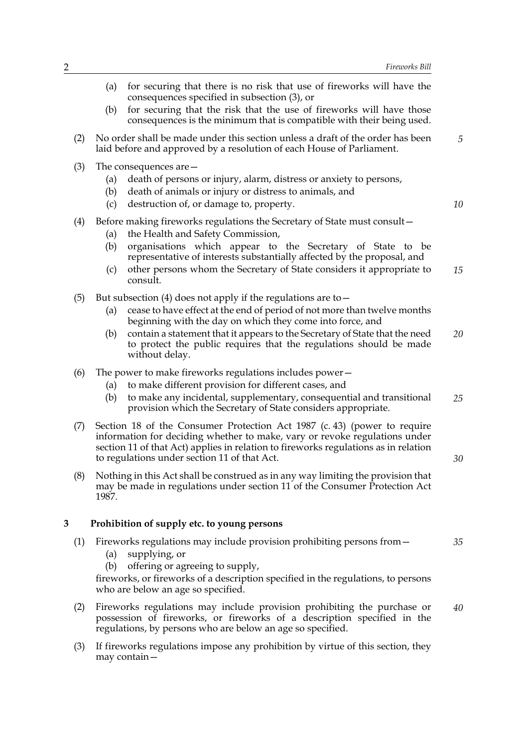- (a) for securing that there is no risk that use of fireworks will have the consequences specified in subsection (3), or (b) for securing that the risk that the use of fireworks will have those consequences is the minimum that is compatible with their being used. (2) No order shall be made under this section unless a draft of the order has been laid before and approved by a resolution of each House of Parliament. (3) The consequences are— (a) death of persons or injury, alarm, distress or anxiety to persons, (b) death of animals or injury or distress to animals, and (c) destruction of, or damage to, property. (4) Before making fireworks regulations the Secretary of State must consult— (a) the Health and Safety Commission, (b) organisations which appear to the Secretary of State to be representative of interests substantially affected by the proposal, and (c) other persons whom the Secretary of State considers it appropriate to consult. (5) But subsection (4) does not apply if the regulations are to  $-$ (a) cease to have effect at the end of period of not more than twelve months beginning with the day on which they come into force, and (b) contain a statement that it appears to the Secretary of State that the need to protect the public requires that the regulations should be made without delay. (6) The power to make fireworks regulations includes power— (a) to make different provision for different cases, and (b) to make any incidental, supplementary, consequential and transitional provision which the Secretary of State considers appropriate. (7) Section 18 of the Consumer Protection Act 1987 (c. 43) (power to require information for deciding whether to make, vary or revoke regulations under section 11 of that Act) applies in relation to fireworks regulations as in relation to regulations under section 11 of that Act. (8) Nothing in this Act shall be construed as in any way limiting the provision that may be made in regulations under section 11 of the Consumer Protection Act 1987. **3 Prohibition of supply etc. to young persons** (1) Fireworks regulations may include provision prohibiting persons from— (a) supplying, or (b) offering or agreeing to supply, fireworks, or fireworks of a description specified in the regulations, to persons who are below an age so specified. (2) Fireworks regulations may include provision prohibiting the purchase or *5 10 15 20 25 30 35 40*
	- (3) If fireworks regulations impose any prohibition by virtue of this section, they may contain—

regulations, by persons who are below an age so specified.

<span id="page-3-0"></span>possession of fireworks, or fireworks of a description specified in the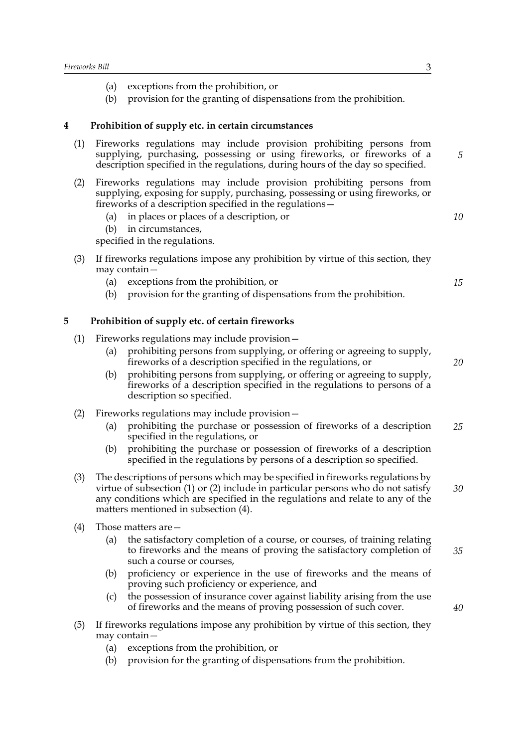- (a) exceptions from the prohibition, or
- <span id="page-4-0"></span>(b) provision for the granting of dispensations from the prohibition.

#### **4 Prohibition of supply etc. in certain circumstances**

- (1) Fireworks regulations may include provision prohibiting persons from supplying, purchasing, possessing or using fireworks, or fireworks of a description specified in the regulations, during hours of the day so specified.
- (2) Fireworks regulations may include provision prohibiting persons from supplying, exposing for supply, purchasing, possessing or using fireworks, or fireworks of a description specified in the regulations—
	- (a) in places or places of a description, or
	- (b) in circumstances,

specified in the regulations.

- (3) If fireworks regulations impose any prohibition by virtue of this section, they may contain—
	- (a) exceptions from the prohibition, or
	- (b) provision for the granting of dispensations from the prohibition.

#### <span id="page-4-1"></span>**5 Prohibition of supply etc. of certain fireworks**

- (1) Fireworks regulations may include provision—
	- (a) prohibiting persons from supplying, or offering or agreeing to supply, fireworks of a description specified in the regulations, or
	- (b) prohibiting persons from supplying, or offering or agreeing to supply, fireworks of a description specified in the regulations to persons of a description so specified.
- (2) Fireworks regulations may include provision—
	- (a) prohibiting the purchase or possession of fireworks of a description specified in the regulations, or *25*
	- (b) prohibiting the purchase or possession of fireworks of a description specified in the regulations by persons of a description so specified.
- (3) The descriptions of persons which may be specified in fireworks regulations by virtue of subsection (1) or (2) include in particular persons who do not satisfy any conditions which are specified in the regulations and relate to any of the matters mentioned in subsection (4). *30*
- (4) Those matters are—
	- (a) the satisfactory completion of a course, or courses, of training relating to fireworks and the means of proving the satisfactory completion of such a course or courses,
	- (b) proficiency or experience in the use of fireworks and the means of proving such proficiency or experience, and
	- (c) the possession of insurance cover against liability arising from the use of fireworks and the means of proving possession of such cover.
- (5) If fireworks regulations impose any prohibition by virtue of this section, they may contain—
	- (a) exceptions from the prohibition, or
	- (b) provision for the granting of dispensations from the prohibition.

*10*

*15*

*5*

*20*

*35*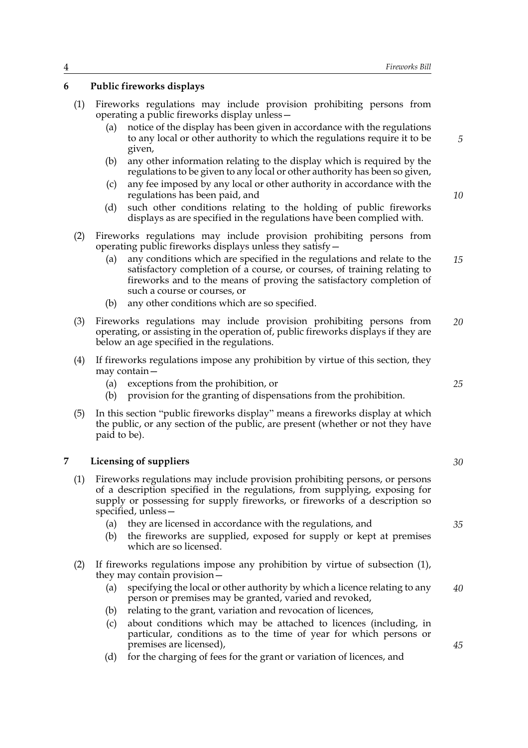#### <span id="page-5-0"></span>**6 Public fireworks displays**

- (1) Fireworks regulations may include provision prohibiting persons from operating a public fireworks display unless
	- notice of the display has been given in accordance with the regulations to any local or other authority to which the regulations require it to be given,
	- (b) any other information relating to the display which is required by the regulations to be given to any local or other authority has been so given,
	- (c) any fee imposed by any local or other authority in accordance with the regulations has been paid, and
	- (d) such other conditions relating to the holding of public fireworks displays as are specified in the regulations have been complied with.
- (2) Fireworks regulations may include provision prohibiting persons from operating public fireworks displays unless they satisfy—
	- (a) any conditions which are specified in the regulations and relate to the satisfactory completion of a course, or courses, of training relating to fireworks and to the means of proving the satisfactory completion of such a course or courses, or *15*
	- (b) any other conditions which are so specified.
- (3) Fireworks regulations may include provision prohibiting persons from operating, or assisting in the operation of, public fireworks displays if they are below an age specified in the regulations. *20*
- (4) If fireworks regulations impose any prohibition by virtue of this section, they may contain—
	- (a) exceptions from the prohibition, or
	- (b) provision for the granting of dispensations from the prohibition.
- (5) In this section "public fireworks display" means a fireworks display at which the public, or any section of the public, are present (whether or not they have paid to be).

#### <span id="page-5-1"></span>**7 Licensing of suppliers**

- (1) Fireworks regulations may include provision prohibiting persons, or persons of a description specified in the regulations, from supplying, exposing for supply or possessing for supply fireworks, or fireworks of a description so specified, unless—
	- (a) they are licensed in accordance with the regulations, and
	- (b) the fireworks are supplied, exposed for supply or kept at premises which are so licensed.
- (2) If fireworks regulations impose any prohibition by virtue of subsection (1), they may contain provision—
	- (a) specifying the local or other authority by which a licence relating to any person or premises may be granted, varied and revoked, *40*
	- (b) relating to the grant, variation and revocation of licences,
	- (c) about conditions which may be attached to licences (including, in particular, conditions as to the time of year for which persons or premises are licensed),
	- (d) for the charging of fees for the grant or variation of licences, and

*25*

*5*

*10*

*30*

*35*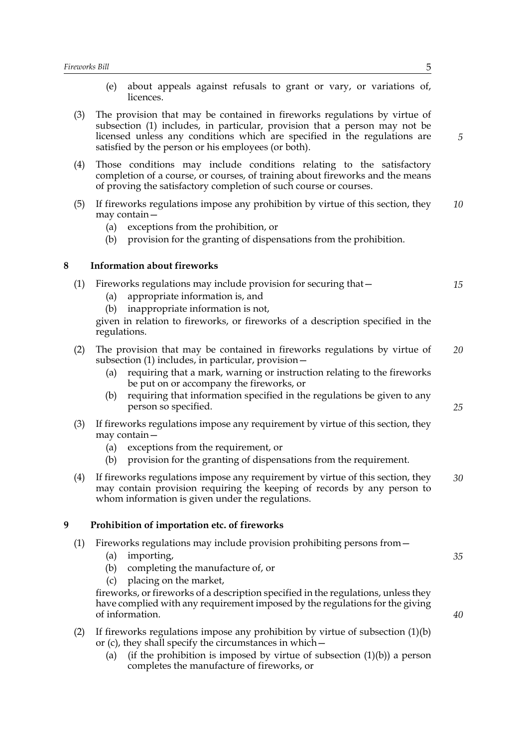- <span id="page-6-1"></span><span id="page-6-0"></span>(e) about appeals against refusals to grant or vary, or variations of, licences. (3) The provision that may be contained in fireworks regulations by virtue of subsection (1) includes, in particular, provision that a person may not be licensed unless any conditions which are specified in the regulations are satisfied by the person or his employees (or both). (4) Those conditions may include conditions relating to the satisfactory completion of a course, or courses, of training about fireworks and the means of proving the satisfactory completion of such course or courses. (5) If fireworks regulations impose any prohibition by virtue of this section, they may contain— (a) exceptions from the prohibition, or (b) provision for the granting of dispensations from the prohibition. **8 Information about fireworks** (1) Fireworks regulations may include provision for securing that— (a) appropriate information is, and (b) inappropriate information is not, given in relation to fireworks, or fireworks of a description specified in the regulations. (2) The provision that may be contained in fireworks regulations by virtue of subsection (1) includes, in particular, provision— (a) requiring that a mark, warning or instruction relating to the fireworks be put on or accompany the fireworks, or (b) requiring that information specified in the regulations be given to any person so specified. (3) If fireworks regulations impose any requirement by virtue of this section, they may contain— (a) exceptions from the requirement, or (b) provision for the granting of dispensations from the requirement. (4) If fireworks regulations impose any requirement by virtue of this section, they may contain provision requiring the keeping of records by any person to whom information is given under the regulations. **9 Prohibition of importation etc. of fireworks** (1) Fireworks regulations may include provision prohibiting persons from— (a) importing, (b) completing the manufacture of, or (c) placing on the market, fireworks, or fireworks of a description specified in the regulations, unless they have complied with any requirement imposed by the regulations for the giving of information. (2) If fireworks regulations impose any prohibition by virtue of subsection  $(1)(b)$ or (c), they shall specify the circumstances in which— *5 10 15 20 25 30 35 40*
	- (a) (if the prohibition is imposed by virtue of subsection  $(1)(b)$ ) a person completes the manufacture of fireworks, or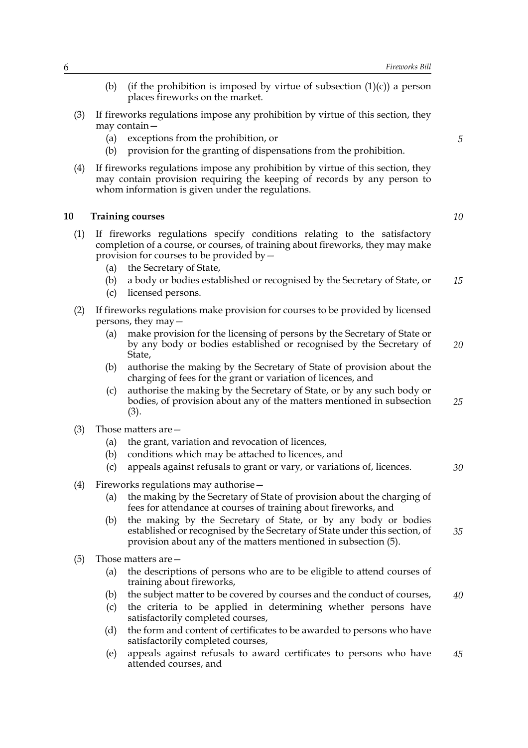- (b) (if the prohibition is imposed by virtue of subsection  $(1)(c)$ ) a person places fireworks on the market.
- (3) If fireworks regulations impose any prohibition by virtue of this section, they may contain—
	- (a) exceptions from the prohibition, or
	- (b) provision for the granting of dispensations from the prohibition.
- (4) If fireworks regulations impose any prohibition by virtue of this section, they may contain provision requiring the keeping of records by any person to whom information is given under the regulations.

#### <span id="page-7-0"></span>**10 Training courses**

- (1) If fireworks regulations specify conditions relating to the satisfactory completion of a course, or courses, of training about fireworks, they may make provision for courses to be provided by—
	- (a) the Secretary of State,
	- (b) a body or bodies established or recognised by the Secretary of State, or *15*
	- (c) licensed persons.
- (2) If fireworks regulations make provision for courses to be provided by licensed persons, they may—
	- (a) make provision for the licensing of persons by the Secretary of State or by any body or bodies established or recognised by the Secretary of State,
	- (b) authorise the making by the Secretary of State of provision about the charging of fees for the grant or variation of licences, and
	- (c) authorise the making by the Secretary of State, or by any such body or bodies, of provision about any of the matters mentioned in subsection (3). *25*
- (3) Those matters are—
	- (a) the grant, variation and revocation of licences,
	- (b) conditions which may be attached to licences, and
	- (c) appeals against refusals to grant or vary, or variations of, licences.
- (4) Fireworks regulations may authorise—
	- (a) the making by the Secretary of State of provision about the charging of fees for attendance at courses of training about fireworks, and
	- (b) the making by the Secretary of State, or by any body or bodies established or recognised by the Secretary of State under this section, of provision about any of the matters mentioned in subsection (5).
- (5) Those matters are—
	- (a) the descriptions of persons who are to be eligible to attend courses of training about fireworks,
	- (b) the subject matter to be covered by courses and the conduct of courses, *40*
	- (c) the criteria to be applied in determining whether persons have satisfactorily completed courses,
	- (d) the form and content of certificates to be awarded to persons who have satisfactorily completed courses,
	- (e) appeals against refusals to award certificates to persons who have attended courses, and *45*

*10*

*20*

*30*

*35*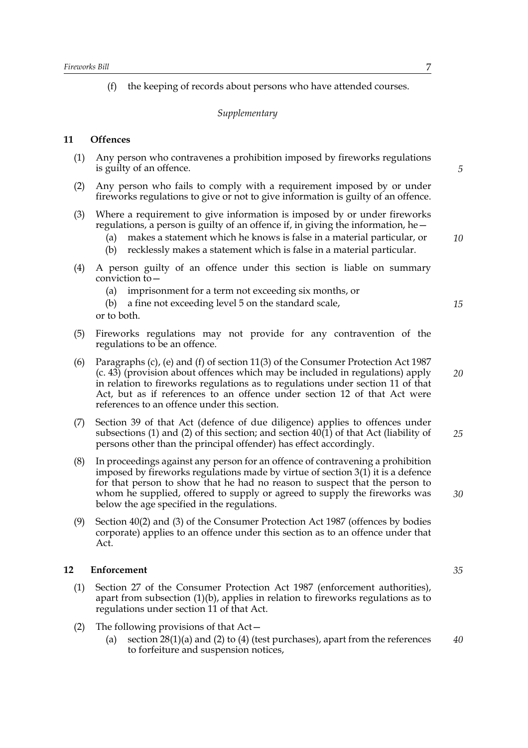(f) the keeping of records about persons who have attended courses.

#### *Supplementary*

#### <span id="page-8-0"></span>**11 Offences**

- (1) Any person who contravenes a prohibition imposed by fireworks regulations is guilty of an offence.
- (2) Any person who fails to comply with a requirement imposed by or under fireworks regulations to give or not to give information is guilty of an offence.
- (3) Where a requirement to give information is imposed by or under fireworks regulations, a person is guilty of an offence if, in giving the information, he $-$ 
	- (a) makes a statement which he knows is false in a material particular, or
	- (b) recklessly makes a statement which is false in a material particular.
- (4) A person guilty of an offence under this section is liable on summary conviction to—
	- (a) imprisonment for a term not exceeding six months, or
	- (b) a fine not exceeding level 5 on the standard scale, or to both.
- (5) Fireworks regulations may not provide for any contravention of the regulations to be an offence.
- (6) Paragraphs (c), (e) and (f) of section 11(3) of the Consumer Protection Act 1987 (c. 43) (provision about offences which may be included in regulations) apply in relation to fireworks regulations as to regulations under section 11 of that Act, but as if references to an offence under section 12 of that Act were references to an offence under this section.
- (7) Section 39 of that Act (defence of due diligence) applies to offences under subsections (1) and (2) of this section; and section 40(1) of that Act (liability of persons other than the principal offender) has effect accordingly. *25*
- (8) In proceedings against any person for an offence of contravening a prohibition imposed by fireworks regulations made by virtue of section 3(1) it is a defence for that person to show that he had no reason to suspect that the person to whom he supplied, offered to supply or agreed to supply the fireworks was below the age specified in the regulations.
- (9) Section 40(2) and (3) of the Consumer Protection Act 1987 (offences by bodies corporate) applies to an offence under this section as to an offence under that Act.

#### <span id="page-8-1"></span>**12 Enforcement**

- (1) Section 27 of the Consumer Protection Act 1987 (enforcement authorities), apart from subsection (1)(b), applies in relation to fireworks regulations as to regulations under section 11 of that Act.
- (2) The following provisions of that Act—
	- (a) section  $28(1)(a)$  and (2) to (4) (test purchases), apart from the references to forfeiture and suspension notices, *40*

*5*

*10*

*15*

*20*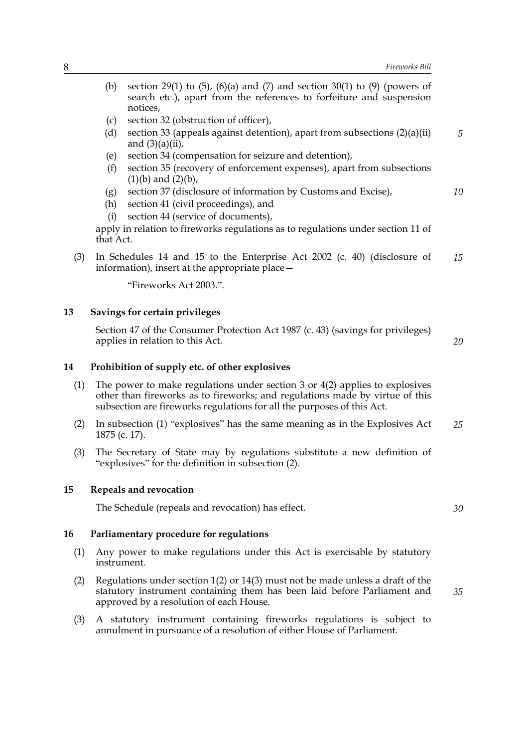*5*

*10*

- (b) section 29(1) to  $(5)$ ,  $(6)(a)$  and  $(7)$  and section 30(1) to  $(9)$  (powers of search etc.), apart from the references to forfeiture and suspension notices,
- (c) section 32 (obstruction of officer),
- (d) section 33 (appeals against detention), apart from subsections (2)(a)(ii) and  $(3)(a)(ii)$ ,
- (e) section 34 (compensation for seizure and detention),
- (f) section 35 (recovery of enforcement expenses), apart from subsections  $(1)(b)$  and  $(2)(b)$ ,
- (g) section 37 (disclosure of information by Customs and Excise),
- (h) section 41 (civil proceedings), and
- (i) section 44 (service of documents),

apply in relation to fireworks regulations as to regulations under section 11 of that Act.

(3) In Schedules 14 and 15 to the Enterprise Act 2002 (c. 40) (disclosure of information), insert at the appropriate place— *15*

"Fireworks Act 2003.".

#### **13 Savings for certain privileges**

<span id="page-9-0"></span>Section 47 of the Consumer Protection Act 1987 (c. 43) (savings for privileges) applies in relation to this Act. *20*

<span id="page-9-1"></span>**14 Prohibition of supply etc. of other explosives**

- (1) The power to make regulations under section 3 or 4(2) applies to explosives other than fireworks as to fireworks; and regulations made by virtue of this subsection are fireworks regulations for all the purposes of this Act.
- (2) In subsection (1) "explosives" has the same meaning as in the Explosives Act 1875 (c. 17). *25*
- (3) The Secretary of State may by regulations substitute a new definition of "explosives" for the definition in subsection (2).

#### **15 Repeals and revocation**

<span id="page-9-3"></span><span id="page-9-2"></span>The Schedule (repeals and revocation) has effect.

*30*

*35*

#### **16 Parliamentary procedure for regulations**

- (1) Any power to make regulations under this Act is exercisable by statutory instrument.
- (2) Regulations under section 1(2) or 14(3) must not be made unless a draft of the statutory instrument containing them has been laid before Parliament and approved by a resolution of each House.
- (3) A statutory instrument containing fireworks regulations is subject to annulment in pursuance of a resolution of either House of Parliament.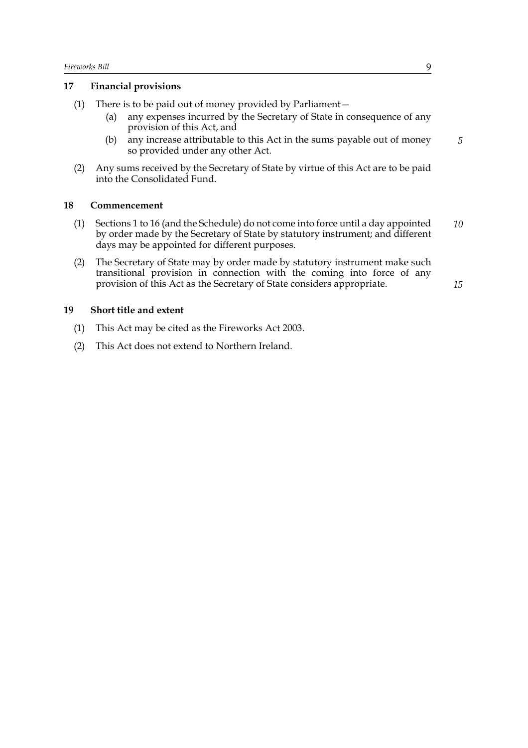#### <span id="page-10-0"></span>**17 Financial provisions**

- (1) There is to be paid out of money provided by Parliament—
	- (a) any expenses incurred by the Secretary of State in consequence of any provision of this Act, and
	- (b) any increase attributable to this Act in the sums payable out of money so provided under any other Act.
- (2) Any sums received by the Secretary of State by virtue of this Act are to be paid into the Consolidated Fund.

#### <span id="page-10-1"></span>**18 Commencement**

- (1) Sections 1 to 16 (and the Schedule) do not come into force until a day appointed by order made by the Secretary of State by statutory instrument; and different days may be appointed for different purposes. *10*
- (2) The Secretary of State may by order made by statutory instrument make such transitional provision in connection with the coming into force of any provision of this Act as the Secretary of State considers appropriate.

*15*

*5*

#### <span id="page-10-2"></span>**19 Short title and extent**

- (1) This Act may be cited as the Fireworks Act 2003.
- (2) This Act does not extend to Northern Ireland.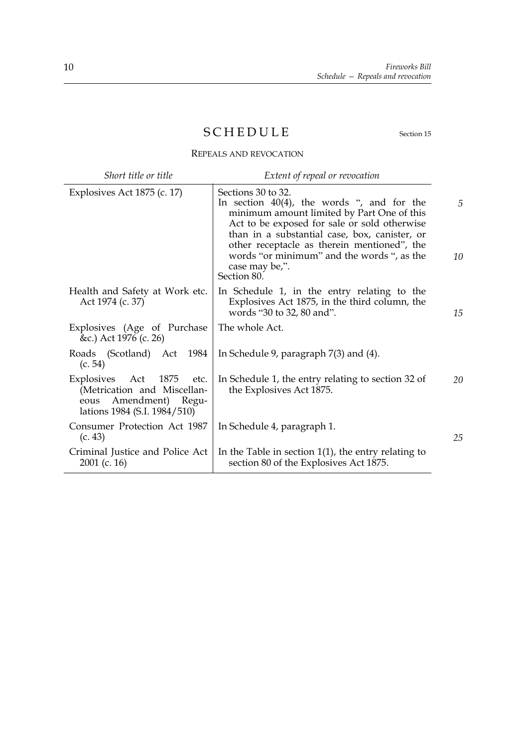# <span id="page-11-0"></span>SCHEDULE Section [15](#page-9-2)

REPEALS AND REVOCATION

| Short title or title                                                                                                      | Extent of repeal or revocation                                                                                                                                                                                                                                                                                                                   |         |
|---------------------------------------------------------------------------------------------------------------------------|--------------------------------------------------------------------------------------------------------------------------------------------------------------------------------------------------------------------------------------------------------------------------------------------------------------------------------------------------|---------|
| Explosives Act 1875 (c. 17)                                                                                               | Sections 30 to 32.<br>In section $40(4)$ , the words ", and for the<br>minimum amount limited by Part One of this<br>Act to be exposed for sale or sold otherwise<br>than in a substantial case, box, canister, or<br>other receptacle as therein mentioned", the<br>words "or minimum" and the words ", as the<br>case may be,".<br>Section 80. | 5<br>10 |
| Health and Safety at Work etc.<br>Act 1974 (c. 37)                                                                        | In Schedule 1, in the entry relating to the<br>Explosives Act 1875, in the third column, the<br>words "30 to 32, 80 and".                                                                                                                                                                                                                        | 15      |
| Explosives (Age of Purchase<br>&c.) Act 1976 (c. 26)                                                                      | The whole Act.                                                                                                                                                                                                                                                                                                                                   |         |
| Roads (Scotland) Act<br>1984<br>(c. 54)                                                                                   | In Schedule 9, paragraph $7(3)$ and $(4)$ .                                                                                                                                                                                                                                                                                                      |         |
| Explosives<br>Act 1875<br>etc.<br>(Metrication and Miscellan-<br>Amendment) Regu-<br>eous<br>lations 1984 (S.I. 1984/510) | In Schedule 1, the entry relating to section 32 of<br>the Explosives Act 1875.                                                                                                                                                                                                                                                                   | 20      |
| Consumer Protection Act 1987<br>(c. 43)                                                                                   | In Schedule 4, paragraph 1.                                                                                                                                                                                                                                                                                                                      | 25      |
| Criminal Justice and Police Act<br>$2001$ (c. 16)                                                                         | In the Table in section $1(1)$ , the entry relating to<br>section 80 of the Explosives Act 1875.                                                                                                                                                                                                                                                 |         |